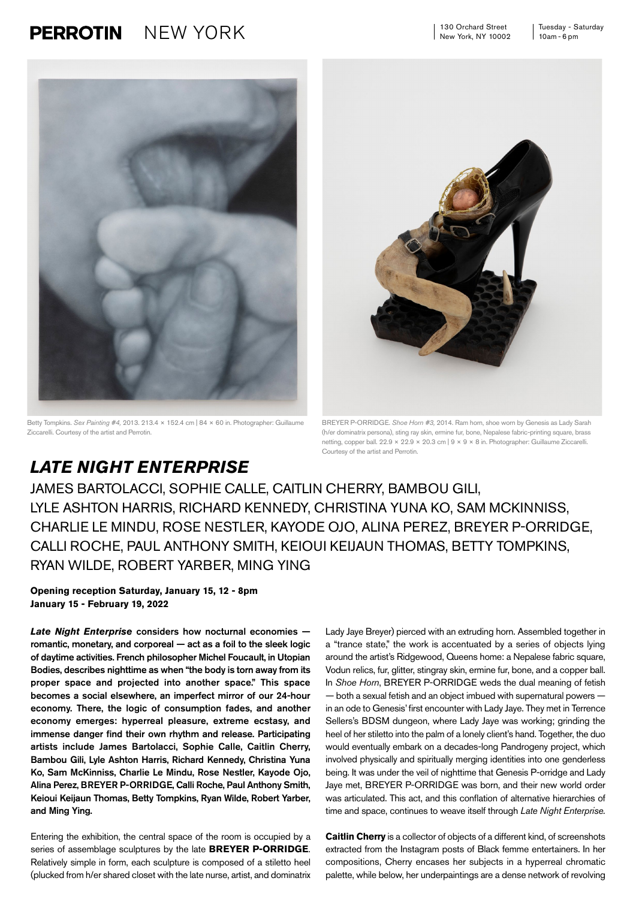130 Orchard Street New York, NY 10002

## **PERROTIN** NEW YORK 130 Orchard Street Tuesday - Saturday



Betty Tompkins. *Sex Painting #4,* 2013. 213.4 × 152.4 cm | 84 × 60 in. Photographer: Guillaume Ziccarelli. Courtesy of the artist and Perrotin.



BREYER P-ORRIDGE. *Shoe Horn #3,* 2014. Ram horn, shoe worn by Genesis as Lady Sarah (h/er dominatrix persona), sting ray skin, ermine fur, bone, Nepalese fabric-printing square, brass netting, copper ball. 22.9 × 22.9 × 20.3 cm | 9 × 9 × 8 in. Photographer: Guillaume Ziccarelli. Courtesy of the artist and Perrotin.

## *LATE NIGHT ENTERPRISE*

JAMES BARTOLACCI, SOPHIE CALLE, CAITLIN CHERRY, BAMBOU GILI, LYLE ASHTON HARRIS, RICHARD KENNEDY, CHRISTINA YUNA KO, SAM MCKINNISS, CHARLIE LE MINDU, ROSE NESTLER, KAYODE OJO, ALINA PEREZ, BREYER P-ORRIDGE, CALLI ROCHE, PAUL ANTHONY SMITH, KEIOUI KEIJAUN THOMAS, BETTY TOMPKINS, RYAN WILDE, ROBERT YARBER, MING YING

**Opening reception Saturday, January 15, 12 - 8pm January 15 - February 19, 2022**

*Late Night Enterprise* considers how nocturnal economies romantic, monetary, and corporeal — act as a foil to the sleek logic of daytime activities. French philosopher Michel Foucault, in Utopian Bodies, describes nighttime as when "the body is torn away from its proper space and projected into another space." This space becomes a social elsewhere, an imperfect mirror of our 24-hour economy. There, the logic of consumption fades, and another economy emerges: hyperreal pleasure, extreme ecstasy, and immense danger find their own rhythm and release. Participating artists include James Bartolacci, Sophie Calle, Caitlin Cherry, Bambou Gili, Lyle Ashton Harris, Richard Kennedy, Christina Yuna Ko, Sam McKinniss, Charlie Le Mindu, Rose Nestler, Kayode Ojo, Alina Perez, BREYER P-ORRIDGE, Calli Roche, Paul Anthony Smith, Keioui Keijaun Thomas, Betty Tompkins, Ryan Wilde, Robert Yarber, and Ming Ying.

Entering the exhibition, the central space of the room is occupied by a series of assemblage sculptures by the late **BREYER P-ORRIDGE**. Relatively simple in form, each sculpture is composed of a stiletto heel (plucked from h/er shared closet with the late nurse, artist, and dominatrix Lady Jaye Breyer) pierced with an extruding horn. Assembled together in a "trance state," the work is accentuated by a series of objects lying around the artist's Ridgewood, Queens home: a Nepalese fabric square, Vodun relics, fur, glitter, stingray skin, ermine fur, bone, and a copper ball. In *Shoe Horn*, BREYER P-ORRIDGE weds the dual meaning of fetish — both a sexual fetish and an object imbued with supernatural powers in an ode to Genesis' first encounter with Lady Jaye. They met in Terrence Sellers's BDSM dungeon, where Lady Jaye was working; grinding the heel of her stiletto into the palm of a lonely client's hand. Together, the duo would eventually embark on a decades-long Pandrogeny project, which involved physically and spiritually merging identities into one genderless being. It was under the veil of nighttime that Genesis P-orridge and Lady Jaye met, BREYER P-ORRIDGE was born, and their new world order was articulated. This act, and this conflation of alternative hierarchies of time and space, continues to weave itself through *Late Night Enterprise.*

**Caitlin Cherry** is a collector of objects of a different kind, of screenshots extracted from the Instagram posts of Black femme entertainers. In her compositions, Cherry encases her subjects in a hyperreal chromatic palette, while below, her underpaintings are a dense network of revolving